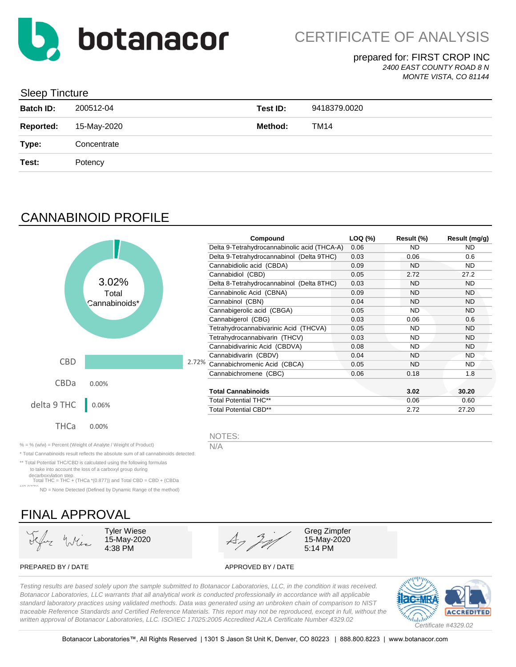

#### prepared for: FIRST CROP INC *2400 EAST COUNTY ROAD 8 N*

*MONTE VISTA, CO 81144*

### Sleep Tincture

| <b>Batch ID:</b> | 200512-04   | Test ID: | 9418379.0020 |
|------------------|-------------|----------|--------------|
| <b>Reported:</b> | 15-May-2020 | Method:  | <b>TM14</b>  |
| Type:            | Concentrate |          |              |
| Test:            | Potency     |          |              |
|                  |             |          |              |

# CANNABINOID PROFILE

|             |               | Compound                                     | LOQ (%) | Result (%) | Result (mg/g) |
|-------------|---------------|----------------------------------------------|---------|------------|---------------|
|             |               | Delta 9-Tetrahydrocannabinolic acid (THCA-A) | 0.06    | <b>ND</b>  | <b>ND</b>     |
|             |               | Delta 9-Tetrahydrocannabinol (Delta 9THC)    | 0.03    | 0.06       | 0.6           |
|             |               | Cannabidiolic acid (CBDA)                    | 0.09    | <b>ND</b>  | <b>ND</b>     |
|             |               | Cannabidiol (CBD)                            | 0.05    | 2.72       | 27.2          |
|             | 3.02%         | Delta 8-Tetrahydrocannabinol (Delta 8THC)    | 0.03    | ND         | ND.           |
|             | Total         | Cannabinolic Acid (CBNA)                     | 0.09    | <b>ND</b>  | <b>ND</b>     |
|             | Cannabinoids* | Cannabinol (CBN)                             | 0.04    | <b>ND</b>  | <b>ND</b>     |
|             |               | Cannabigerolic acid (CBGA)                   | 0.05    | <b>ND</b>  | <b>ND</b>     |
|             |               | Cannabigerol (CBG)                           | 0.03    | 0.06       | 0.6           |
|             |               | Tetrahydrocannabivarinic Acid (THCVA)        | 0.05    | ND         | <b>ND</b>     |
|             |               | Tetrahydrocannabivarin (THCV)                | 0.03    | <b>ND</b>  | <b>ND</b>     |
|             |               | Cannabidivarinic Acid (CBDVA)                | 0.08    | <b>ND</b>  | <b>ND</b>     |
|             |               | Cannabidivarin (CBDV)                        | 0.04    | <b>ND</b>  | <b>ND</b>     |
| <b>CBD</b>  |               | 2.72% Cannabichromenic Acid (CBCA)           | 0.05    | <b>ND</b>  | <b>ND</b>     |
|             |               | Cannabichromene (CBC)                        | 0.06    | 0.18       | 1.8           |
| <b>CBDa</b> | 0.00%         |                                              |         |            |               |
|             |               | <b>Total Cannabinoids</b>                    |         | 3.02       | 30.20         |
| delta 9 THC | 0.06%         | <b>Total Potential THC**</b>                 |         | 0.06       | 0.60          |
|             |               | <b>Total Potential CBD**</b>                 |         | 2.72       | 27.20         |
| THCa        | 0.00%         |                                              |         |            |               |
|             |               | NOTES:                                       |         |            |               |

% = % (w/w) = Percent (Weight of Analyte / Weight of Product)  $N/A$ 

\* Total Cannabinoids result reflects the absolute sum of all cannabinoids detected.

\*\* Total Potential THC/CBD is calculated using the following formulas to take into account the loss of a carboxyl group during

decarboxylation step. Total THC = THC + (THCa \*(0.877)) and Total CBD = CBD + (CBDa

\*(0.877)) ND = None Detected (Defined by Dynamic Range of the method)

# FINAL APPROVAL

15-May-2020



15-May-2020

PREPARED BY / DATE APPROVED BY / DATE

*Testing results are based solely upon the sample submitted to Botanacor Laboratories, LLC, in the condition it was received. Botanacor Laboratories, LLC warrants that all analytical work is conducted professionally in accordance with all applicable standard laboratory practices using validated methods. Data was generated using an unbroken chain of comparison to NIST traceable Reference Standards and Certified Reference Materials. This report may not be reproduced, except in full, without the written approval of Botanacor Laboratories, LLC. ISO/IEC 17025:2005 Accredited A2LA Certificate Number 4329.02*

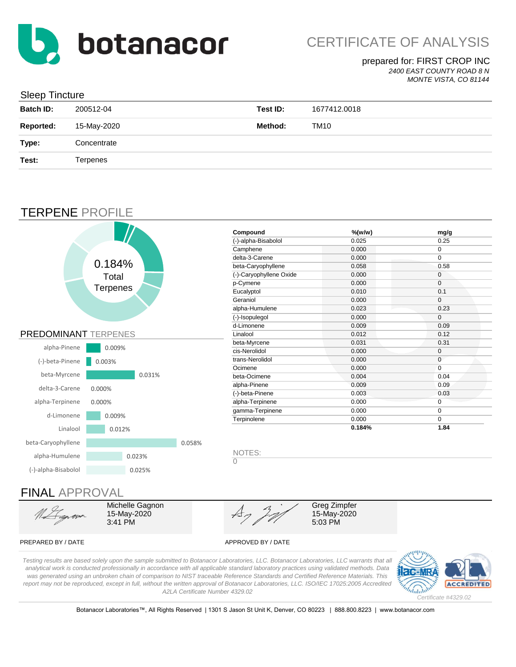

## prepared for: FIRST CROP INC

*2400 EAST COUNTY ROAD 8 N*

#### *MONTE VISTA, CO 81144*

| Sleep Tincture   |             |          |              |
|------------------|-------------|----------|--------------|
| <b>Batch ID:</b> | 200512-04   | Test ID: | 1677412.0018 |
| <b>Reported:</b> | 15-May-2020 | Method:  | <b>TM10</b>  |
| Type:            | Concentrate |          |              |
| Test:            | Terpenes    |          |              |
|                  |             |          |              |

## TERPENE PROFILE

 $C$ leep  $T$ incture



#### PREPARED BY / DATE APPROVED BY / DATE

3:41 PM

15-May-2020 5:03 PM

*Testing results are based solely upon the sample submitted to Botanacor Laboratories, LLC. Botanacor Laboratories, LLC warrants that all analytical work is conducted professionally in accordance with all applicable standard laboratory practices using validated methods. Data was generated using an unbroken chain of comparison to NIST traceable Reference Standards and Certified Reference Materials. This report may not be reproduced, except in full, without the written approval of Botanacor Laboratories, LLC. ISO/IEC 17025:2005 Accredited A2LA Certificate Number 4329.02*



Botanacor Laboratories™, All Rights Reserved | 1301 S Jason St Unit K, Denver, CO 80223 | 888.800.8223 | www.botanacor.com